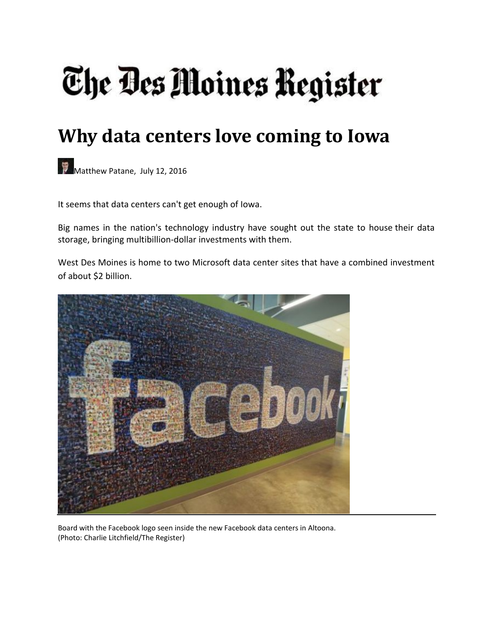# The Des Moines Register

# **Why data centers love coming to Iowa**

Matthew Patane, July 12, 2016

It seems that data centers can't get enough of Iowa.

Big names in the nation's technology industry have sought out the state to house their data storage, bringing multibillion‐dollar investments with them.

West Des Moines is home to two Microsoft data center sites that have a combined investment of about \$2 billion.



Board with the Facebook logo seen inside the new Facebook data centers in Altoona. (Photo: Charlie Litchfield/The Register)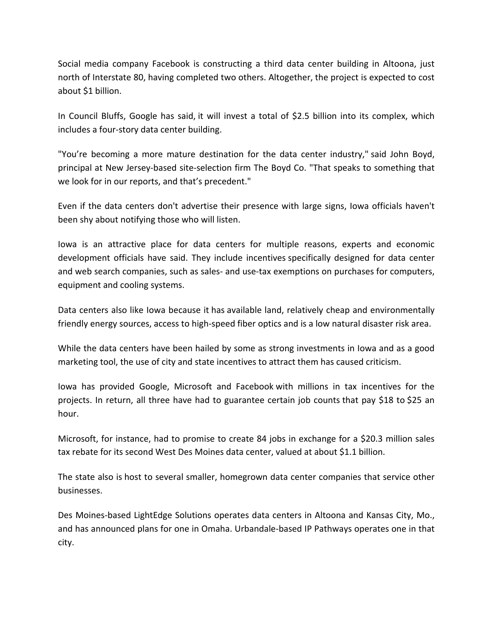Social media company Facebook is constructing a third data center building in Altoona, just north of Interstate 80, having completed two others. Altogether, the project is expected to cost about \$1 billion.

In Council Bluffs, Google has said, it will invest a total of \$2.5 billion into its complex, which includes a four‐story data center building.

"You're becoming a more mature destination for the data center industry," said John Boyd, principal at New Jersey-based site-selection firm The Boyd Co. "That speaks to something that we look for in our reports, and that's precedent."

Even if the data centers don't advertise their presence with large signs, Iowa officials haven't been shy about notifying those who will listen.

Iowa is an attractive place for data centers for multiple reasons, experts and economic development officials have said. They include incentives specifically designed for data center and web search companies, such as sales‐ and use‐tax exemptions on purchases for computers, equipment and cooling systems.

Data centers also like Iowa because it has available land, relatively cheap and environmentally friendly energy sources, access to high‐speed fiber optics and is a low natural disaster risk area.

While the data centers have been hailed by some as strong investments in Iowa and as a good marketing tool, the use of city and state incentives to attract them has caused criticism.

Iowa has provided Google, Microsoft and Facebook with millions in tax incentives for the projects. In return, all three have had to guarantee certain job counts that pay \$18 to \$25 an hour.

Microsoft, for instance, had to promise to create 84 jobs in exchange for a \$20.3 million sales tax rebate for its second West Des Moines data center, valued at about \$1.1 billion.

The state also is host to several smaller, homegrown data center companies that service other businesses.

Des Moines‐based LightEdge Solutions operates data centers in Altoona and Kansas City, Mo., and has announced plans for one in Omaha. Urbandale‐based IP Pathways operates one in that city.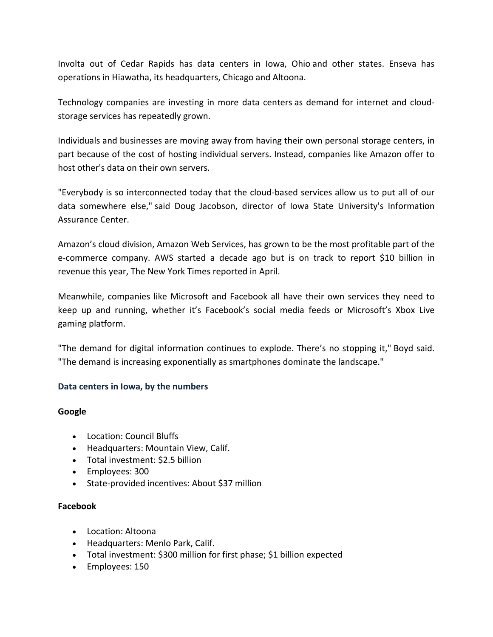Involta out of Cedar Rapids has data centers in Iowa, Ohio and other states. Enseva has operations in Hiawatha, its headquarters, Chicago and Altoona.

Technology companies are investing in more data centers as demand for internet and cloud‐ storage services has repeatedly grown.

Individuals and businesses are moving away from having their own personal storage centers, in part because of the cost of hosting individual servers. Instead, companies like Amazon offer to host other's data on their own servers.

"Everybody is so interconnected today that the cloud‐based services allow us to put all of our data somewhere else," said Doug Jacobson, director of Iowa State University's Information Assurance Center.

Amazon's cloud division, Amazon Web Services, has grown to be the most profitable part of the e‐commerce company. AWS started a decade ago but is on track to report \$10 billion in revenue this year, The New York Times reported in April.

Meanwhile, companies like Microsoft and Facebook all have their own services they need to keep up and running, whether it's Facebook's social media feeds or Microsoft's Xbox Live gaming platform.

"The demand for digital information continues to explode. There's no stopping it," Boyd said. "The demand is increasing exponentially as smartphones dominate the landscape."

#### **Data centers in Iowa, by the numbers**

#### **Google**

- Location: Council Bluffs
- Headquarters: Mountain View, Calif.
- Total investment: \$2.5 billion
- Employees: 300
- State-provided incentives: About \$37 million

## **Facebook**

- Location: Altoona
- Headquarters: Menlo Park, Calif.
- Total investment: \$300 million for first phase; \$1 billion expected
- Employees: 150